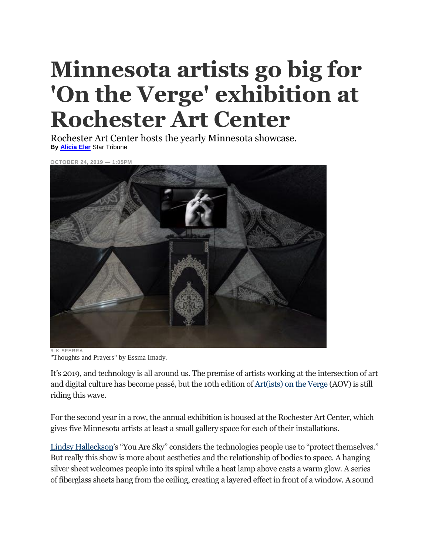## **Minnesota artists go big for 'On the Verge' exhibition at Rochester Art Center**

Rochester Art Center hosts the yearly Minnesota showcase. **By [Alicia](http://www.startribune.com/alicia-eler/424327523/) Eler** Star Tribune



"Thoughts and Prayers" by Essma Imady.

It's 2019, and technology is all around us. The premise of artists working at the intersection of art and digital culture has become passé, but the 10th edition of [Art\(ists\) on the Verge](http://rochesterartcenter.org/exhibition/artists-on-the-verge-10/#targetText=Art(ists)%20on%20the%20Verge%20is%20an%20annual%20exhibition%20program,is%20activated%20by%20the%20viewer.) (AOV) is still riding this wave.

For the second year in a row, the annual exhibition is housed at the Rochester Art Center, which gives five Minnesota artists at least a small gallery space for each of their installations.

[Lindsy Halleckson](http://www.lindsyhalleckson.com/)'s "You Are Sky" considers the technologies people use to "protect themselves." But really this show is more about aesthetics and the relationship of bodies to space. A hanging silver sheet welcomes people into its spiral while a heat lamp above casts a warm glow. A series of fiberglass sheets hang from the ceiling, creating a layered effect in front of a window. A sound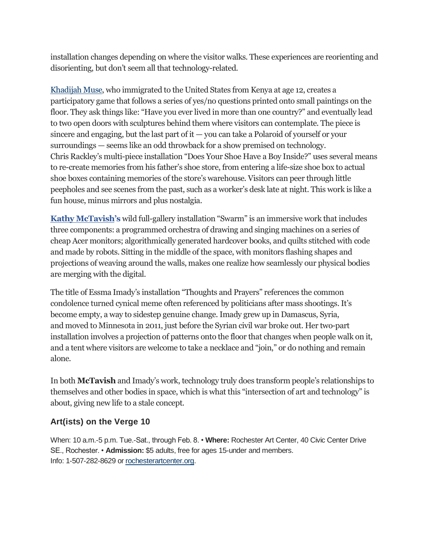installation changes depending on where the visitor walks. These experiences are reorienting and disorienting, but don't seem all that technology-related.

[Khadijah Muse,](http://northern.lights.mn/projects/khadijah-muse/) who immigrated to the United States from Kenya at age 12, creates a participatory game that follows a series of yes/no questions printed onto small paintings on the floor. They ask things like: "Have you ever lived in more than one country?" and eventually lead to two open doors with sculptures behind them where visitors can contemplate. The piece is sincere and engaging, but the last part of it — you can take a Polaroid of yourself or your surroundings — seems like an odd throwback for a show premised on technology. Chris Rackley's multi-piece installation "Does Your Shoe Have a Boy Inside?" uses several means to re-create memories from his father's shoe store, from entering a life-size shoe box to actual shoe boxes containing memories of the store's warehouse. Visitors can peer through little peepholes and see scenes from the past, such as a worker's desk late at night. This work is like a fun house, minus mirrors and plus nostalgia.

**[Kathy McTavish](http://www.mctavish.io/)'s** wild full-gallery installation "Swarm" is an immersive work that includes three components: a programmed orchestra of drawing and singing machines on a series of cheap Acer monitors; algorithmically generated hardcover books, and quilts stitched with code and made by robots. Sitting in the middle of the space, with monitors flashing shapes and projections of weaving around the walls, makes one realize how seamlessly our physical bodies are merging with the digital.

The title of Essma Imady's installation "Thoughts and Prayers" references the common condolence turned cynical meme often referenced by politicians after mass shootings. It's become empty, a way to sidestep genuine change. Imady grew up in Damascus, Syria, and moved to Minnesota in 2011, just before the Syrian civil war broke out. Her two-part installation involves a projection of patterns onto the floor that changes when people walk on it, and a tent where visitors are welcome to take a necklace and "join," or do nothing and remain alone.

In both **McTavish** and Imady's work, technology truly does transform people's relationships to themselves and other bodies in space, which is what this "intersection of art and technology" is about, giving new life to a stale concept.

## **Art(ists) on the Verge 10**

When: 10 a.m.-5 p.m. Tue.-Sat., through Feb. 8. • **Where:** Rochester Art Center, 40 Civic Center Drive SE., Rochester. • **Admission:** \$5 adults, free for ages 15-under and members. Info: 1-507-282-8629 or [rochesterartcenter.org.](http://rochesterartcenter.org/)